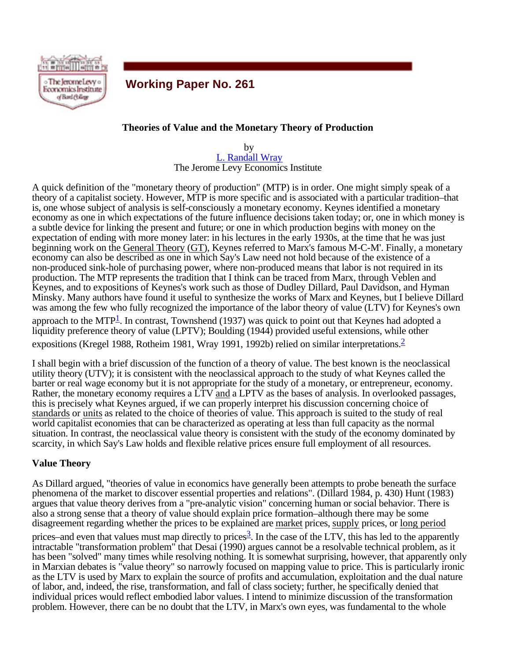

 **Working Paper No. 261** 

# **Theories of Value and the Monetary Theory of Production**

by L. Randall Wray The Jerome Levy Economics Institute

A quick definition of the "monetary theory of production" (MTP) is in order. One might simply speak of a theory of a capitalist society. However, MTP is more specific and is associated with a particular tradition–that is, one whose subject of analysis is self-consciously a monetary economy. Keynes identified a monetary economy as one in which expectations of the future influence decisions taken today; or, one in which money is a subtle device for linking the present and future; or one in which production begins with money on the expectation of ending with more money later: in his lectures in the early 1930s, at the time that he was just beginning work on the General Theory (GT), Keynes referred to Marx's famous M-C-M'. Finally, a monetary economy can also be described as one in which Say's Law need not hold because of the existence of a non-produced sink-hole of purchasing power, where non-produced means that labor is not required in its production. The MTP represents the tradition that I think can be traced from Marx, through Veblen and Keynes, and to expositions of Keynes's work such as those of Dudley Dillard, Paul Davidson, and Hyman Minsky. Many authors have found it useful to synthesize the works of Marx and Keynes, but I believe Dillard was among the few who fully recognized the importance of the labor theory of value (LTV) for Keynes's own

approach to the MTP<sup>1</sup>. In contrast, Townshend (1937) was quick to point out that Keynes had adopted a liquidity preference theory of value (LPTV); Boulding (1944) provided useful extensions, while other expositions (Kregel 1988, Rotheim 1981, Wray 1991, 1992b) relied on similar interpretations.  $\geq$ 

I shall begin with a brief discussion of the function of a theory of value. The best known is the neoclassical utility theory (UTV); it is consistent with the neoclassical approach to the study of what Keynes called the barter or real wage economy but it is not appropriate for the study of a monetary, or entrepreneur, economy. Rather, the monetary economy requires a LTV and a LPTV as the bases of analysis. In overlooked passages, this is precisely what Keynes argued, if we can properly interpret his discussion concerning choice of standards or units as related to the choice of theories of value. This approach is suited to the study of real world capitalist economies that can be characterized as operating at less than full capacity as the normal situation. In contrast, the neoclassical value theory is consistent with the study of the economy dominated by scarcity, in which Say's Law holds and flexible relative prices ensure full employment of all resources.

## **Value Theory**

As Dillard argued, "theories of value in economics have generally been attempts to probe beneath the surface phenomena of the market to discover essential properties and relations". (Dillard 1984, p. 430) Hunt (1983) argues that value theory derives from a "pre-analytic vision" concerning human or social behavior. There is also a strong sense that a theory of value should explain price formation–although there may be some disagreement regarding whether the prices to be explained are market prices, supply prices, or long period

prices–and even that values must map directly to prices<sup>3</sup>. In the case of the LTV, this has led to the apparently intractable "transformation problem" that Desai (1990) argues cannot be a resolvable technical problem, as it has been "solved" many times while resolving nothing. It is somewhat surprising, however, that apparently only in Marxian debates is "value theory" so narrowly focused on mapping value to price. This is particularly ironic as the LTV is used by Marx to explain the source of profits and accumulation, exploitation and the dual nature of labor, and, indeed, the rise, transformation, and fall of class society; further, he specifically denied that individual prices would reflect embodied labor values. I intend to minimize discussion of the transformation problem. However, there can be no doubt that the LTV, in Marx's own eyes, was fundamental to the whole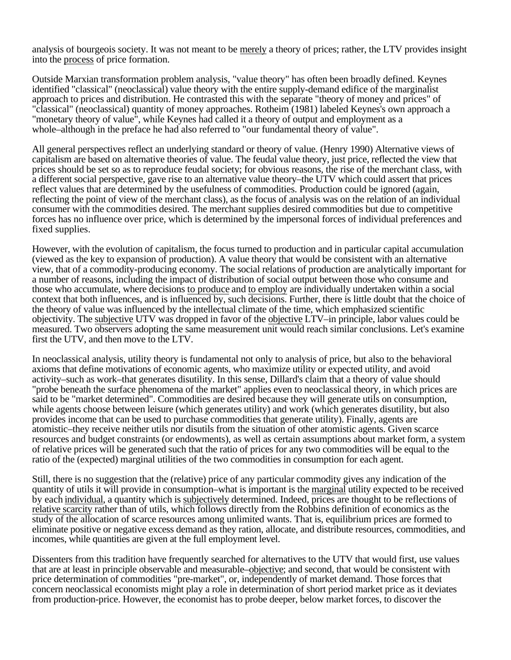analysis of bourgeois society. It was not meant to be merely a theory of prices; rather, the LTV provides insight into the process of price formation.

Outside Marxian transformation problem analysis, "value theory" has often been broadly defined. Keynes identified "classical" (neoclassical) value theory with the entire supply-demand edifice of the marginalist approach to prices and distribution. He contrasted this with the separate "theory of money and prices" of "classical" (neoclassical) quantity of money approaches. Rotheim (1981) labeled Keynes's own approach a "monetary theory of value", while Keynes had called it a theory of output and employment as a whole–although in the preface he had also referred to "our fundamental theory of value".

All general perspectives reflect an underlying standard or theory of value. (Henry 1990) Alternative views of capitalism are based on alternative theories of value. The feudal value theory, just price, reflected the view that prices should be set so as to reproduce feudal society; for obvious reasons, the rise of the merchant class, with a different social perspective, gave rise to an alternative value theory–the UTV which could assert that prices reflect values that are determined by the usefulness of commodities. Production could be ignored (again, reflecting the point of view of the merchant class), as the focus of analysis was on the relation of an individual consumer with the commodities desired. The merchant supplies desired commodities but due to competitive forces has no influence over price, which is determined by the impersonal forces of individual preferences and fixed supplies.

However, with the evolution of capitalism, the focus turned to production and in particular capital accumulation (viewed as the key to expansion of production). A value theory that would be consistent with an alternative view, that of a commodity-producing economy. The social relations of production are analytically important for a number of reasons, including the impact of distribution of social output between those who consume and those who accumulate, where decisions to produce and to employ are individually undertaken within a social context that both influences, and is influenced by, such decisions. Further, there is little doubt that the choice of the theory of value was influenced by the intellectual climate of the time, which emphasized scientific objectivity. The subjective UTV was dropped in favor of the objective LTV–in principle, labor values could be measured. Two observers adopting the same measurement unit would reach similar conclusions. Let's examine first the UTV, and then move to the LTV.

In neoclassical analysis, utility theory is fundamental not only to analysis of price, but also to the behavioral axioms that define motivations of economic agents, who maximize utility or expected utility, and avoid activity–such as work–that generates disutility. In this sense, Dillard's claim that a theory of value should "probe beneath the surface phenomena of the market" applies even to neoclassical theory, in which prices are said to be "market determined". Commodities are desired because they will generate utils on consumption, while agents choose between leisure (which generates utility) and work (which generates disutility, but also provides income that can be used to purchase commodities that generate utility). Finally, agents are atomistic–they receive neither utils nor disutils from the situation of other atomistic agents. Given scarce resources and budget constraints (or endowments), as well as certain assumptions about market form, a system of relative prices will be generated such that the ratio of prices for any two commodities will be equal to the ratio of the (expected) marginal utilities of the two commodities in consumption for each agent.

Still, there is no suggestion that the (relative) price of any particular commodity gives any indication of the quantity of utils it will provide in consumption–what is important is the marginal utility expected to be received by each individual, a quantity which is subjectively determined. Indeed, prices are thought to be reflections of relative scarcity rather than of utils, which follows directly from the Robbins definition of economics as the study of the allocation of scarce resources among unlimited wants. That is, equilibrium prices are formed to eliminate positive or negative excess demand as they ration, allocate, and distribute resources, commodities, and incomes, while quantities are given at the full employment level.

Dissenters from this tradition have frequently searched for alternatives to the UTV that would first, use values that are at least in principle observable and measurable–objective; and second, that would be consistent with price determination of commodities "pre-market", or, independently of market demand. Those forces that concern neoclassical economists might play a role in determination of short period market price as it deviates from production-price. However, the economist has to probe deeper, below market forces, to discover the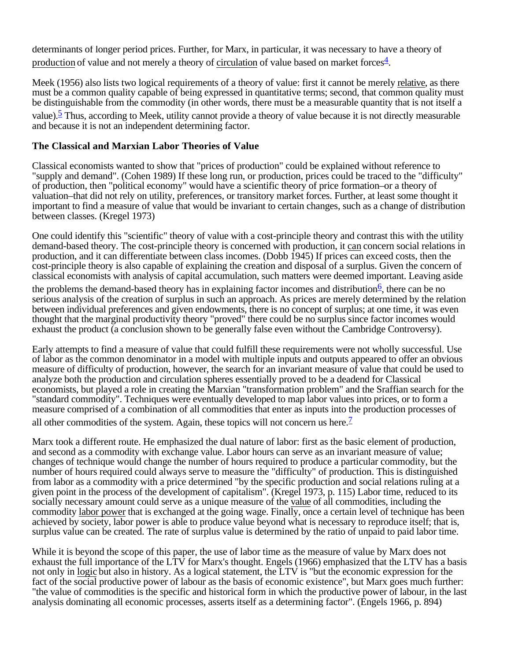determinants of longer period prices. Further, for Marx, in particular, it was necessary to have a theory of production of value and not merely a theory of circulation of value based on market forces $\frac{4}{1}$ .

Meek (1956) also lists two logical requirements of a theory of value: first it cannot be merely relative, as there must be a common quality capable of being expressed in quantitative terms; second, that common quality must be distinguishable from the commodity (in other words, there must be a measurable quantity that is not itself a

value).<sup>5</sup> Thus, according to Meek, utility cannot provide a theory of value because it is not directly measurable and because it is not an independent determining factor.

## **The Classical and Marxian Labor Theories of Value**

Classical economists wanted to show that "prices of production" could be explained without reference to "supply and demand". (Cohen 1989) If these long run, or production, prices could be traced to the "difficulty" of production, then "political economy" would have a scientific theory of price formation–or a theory of valuation–that did not rely on utility, preferences, or transitory market forces. Further, at least some thought it important to find a measure of value that would be invariant to certain changes, such as a change of distribution between classes. (Kregel 1973)

One could identify this "scientific" theory of value with a cost-principle theory and contrast this with the utility demand-based theory. The cost-principle theory is concerned with production, it can concern social relations in production, and it can differentiate between class incomes. (Dobb 1945) If prices can exceed costs, then the cost-principle theory is also capable of explaining the creation and disposal of a surplus. Given the concern of classical economists with analysis of capital accumulation, such matters were deemed important. Leaving aside

the problems the demand-based theory has in explaining factor incomes and distribution<sup>6</sup>, there can be no serious analysis of the creation of surplus in such an approach. As prices are merely determined by the relation between individual preferences and given endowments, there is no concept of surplus; at one time, it was even thought that the marginal productivity theory "proved" there could be no surplus since factor incomes would exhaust the product (a conclusion shown to be generally false even without the Cambridge Controversy).

Early attempts to find a measure of value that could fulfill these requirements were not wholly successful. Use of labor as the common denominator in a model with multiple inputs and outputs appeared to offer an obvious measure of difficulty of production, however, the search for an invariant measure of value that could be used to analyze both the production and circulation spheres essentially proved to be a deadend for Classical economists, but played a role in creating the Marxian "transformation problem" and the Sraffian search for the "standard commodity". Techniques were eventually developed to map labor values into prices, or to form a measure comprised of a combination of all commodities that enter as inputs into the production processes of all other commodities of the system. Again, these topics will not concern us here.<sup>7</sup>

Marx took a different route. He emphasized the dual nature of labor: first as the basic element of production, and second as a commodity with exchange value. Labor hours can serve as an invariant measure of value; changes of technique would change the number of hours required to produce a particular commodity, but the number of hours required could always serve to measure the "difficulty" of production. This is distinguished from labor as a commodity with a price determined "by the specific production and social relations ruling at a given point in the process of the development of capitalism". (Kregel 1973, p. 115) Labor time, reduced to its socially necessary amount could serve as a unique measure of the value of all commodities, including the commodity labor power that is exchanged at the going wage. Finally, once a certain level of technique has been achieved by society, labor power is able to produce value beyond what is necessary to reproduce itself; that is, surplus value can be created. The rate of surplus value is determined by the ratio of unpaid to paid labor time.

While it is beyond the scope of this paper, the use of labor time as the measure of value by Marx does not exhaust the full importance of the LTV for Marx's thought. Engels (1966) emphasized that the LTV has a basis not only in logic but also in history. As a logical statement, the LTV is "but the economic expression for the fact of the social productive power of labour as the basis of economic existence", but Marx goes much further: "the value of commodities is the specific and historical form in which the productive power of labour, in the last analysis dominating all economic processes, asserts itself as a determining factor". (Engels 1966, p. 894)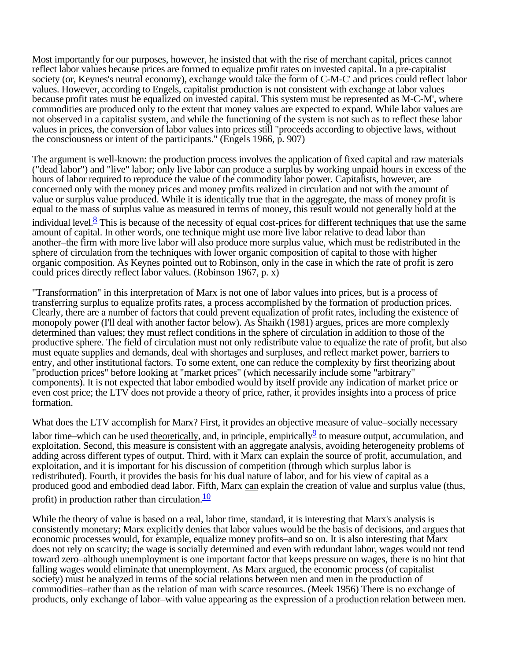Most importantly for our purposes, however, he insisted that with the rise of merchant capital, prices cannot reflect labor values because prices are formed to equalize profit rates on invested capital. In a pre-capitalist society (or, Keynes's neutral economy), exchange would take the form of C-M-C' and prices could reflect labor values. However, according to Engels, capitalist production is not consistent with exchange at labor values because profit rates must be equalized on invested capital. This system must be represented as M-C-M', where commodities are produced only to the extent that money values are expected to expand. While labor values are not observed in a capitalist system, and while the functioning of the system is not such as to reflect these labor values in prices, the conversion of labor values into prices still "proceeds according to objective laws, without the consciousness or intent of the participants." (Engels 1966, p. 907)

The argument is well-known: the production process involves the application of fixed capital and raw materials ("dead labor") and "live" labor; only live labor can produce a surplus by working unpaid hours in excess of the hours of labor required to reproduce the value of the commodity labor power. Capitalists, however, are concerned only with the money prices and money profits realized in circulation and not with the amount of value or surplus value produced. While it is identically true that in the aggregate, the mass of money profit is equal to the mass of surplus value as measured in terms of money, this result would not generally hold at the individual level.<sup>8</sup> This is because of the necessity of equal cost-prices for different techniques that use the same amount of capital. In other words, one technique might use more live labor relative to dead labor than another–the firm with more live labor will also produce more surplus value, which must be redistributed in the sphere of circulation from the techniques with lower organic composition of capital to those with higher organic composition. As Keynes pointed out to Robinson, only in the case in which the rate of profit is zero could prices directly reflect labor values. (Robinson 1967, p. x)

"Transformation" in this interpretation of Marx is not one of labor values into prices, but is a process of transferring surplus to equalize profits rates, a process accomplished by the formation of production prices. Clearly, there are a number of factors that could prevent equalization of profit rates, including the existence of monopoly power (I'll deal with another factor below). As Shaikh (1981) argues, prices are more complexly determined than values; they must reflect conditions in the sphere of circulation in addition to those of the productive sphere. The field of circulation must not only redistribute value to equalize the rate of profit, but also must equate supplies and demands, deal with shortages and surpluses, and reflect market power, barriers to entry, and other institutional factors. To some extent, one can reduce the complexity by first theorizing about "production prices" before looking at "market prices" (which necessarily include some "arbitrary" components). It is not expected that labor embodied would by itself provide any indication of market price or even cost price; the LTV does not provide a theory of price, rather, it provides insights into a process of price formation.

What does the LTV accomplish for Marx? First, it provides an objective measure of value–socially necessary

labor time–which can be used theoretically, and, in principle, empirically<sup>9</sup> to measure output, accumulation, and exploitation. Second, this measure is consistent with an aggregate analysis, avoiding heterogeneity problems of adding across different types of output. Third, with it Marx can explain the source of profit, accumulation, and exploitation, and it is important for his discussion of competition (through which surplus labor is redistributed). Fourth, it provides the basis for his dual nature of labor, and for his view of capital as a produced good and embodied dead labor. Fifth, Marx can explain the creation of value and surplus value (thus, profit) in production rather than circulation. $\frac{10}{10}$ 

While the theory of value is based on a real, labor time, standard, it is interesting that Marx's analysis is consistently monetary; Marx explicitly denies that labor values would be the basis of decisions, and argues that economic processes would, for example, equalize money profits–and so on. It is also interesting that Marx does not rely on scarcity; the wage is socially determined and even with redundant labor, wages would not tend toward zero–although unemployment is one important factor that keeps pressure on wages, there is no hint that falling wages would eliminate that unemployment. As Marx argued, the economic process (of capitalist society) must be analyzed in terms of the social relations between men and men in the production of commodities–rather than as the relation of man with scarce resources. (Meek 1956) There is no exchange of products, only exchange of labor–with value appearing as the expression of a production relation between men.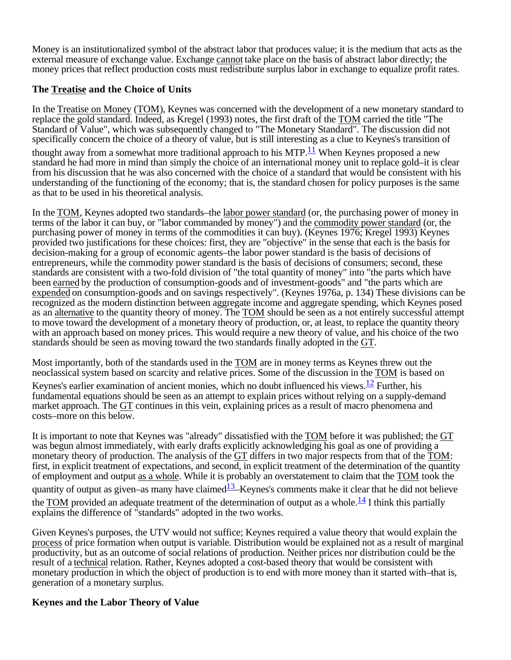Money is an institutionalized symbol of the abstract labor that produces value; it is the medium that acts as the external measure of exchange value. Exchange cannot take place on the basis of abstract labor directly; the money prices that reflect production costs must redistribute surplus labor in exchange to equalize profit rates.

# **The Treatise and the Choice of Units**

In the Treatise on Money (TOM), Keynes was concerned with the development of a new monetary standard to replace the gold standard. Indeed, as Kregel (1993) notes, the first draft of the TOM carried the title "The Standard of Value", which was subsequently changed to "The Monetary Standard". The discussion did not specifically concern the choice of a theory of value, but is still interesting as a clue to Keynes's transition of thought away from a somewhat more traditional approach to his MTP. $\frac{11}{12}$  When Keynes proposed a new standard he had more in mind than simply the choice of an international money unit to replace gold–it is clear from his discussion that he was also concerned with the choice of a standard that would be consistent with his understanding of the functioning of the economy; that is, the standard chosen for policy purposes is the same as that to be used in his theoretical analysis.

In the TOM, Keynes adopted two standards–the labor power standard (or, the purchasing power of money in terms of the labor it can buy, or "labor commanded by money") and the commodity power standard (or, the purchasing power of money in terms of the commodities it can buy). (Keynes 1976; Kregel 1993) Keynes provided two justifications for these choices: first, they are "objective" in the sense that each is the basis for decision-making for a group of economic agents–the labor power standard is the basis of decisions of entrepreneurs, while the commodity power standard is the basis of decisions of consumers; second, these standards are consistent with a two-fold division of "the total quantity of money" into "the parts which have been earned by the production of consumption-goods and of investment-goods" and "the parts which are expended on consumption-goods and on savings respectively". (Keynes 1976a, p. 134) These divisions can be recognized as the modern distinction between aggregate income and aggregate spending, which Keynes posed as an alternative to the quantity theory of money. The TOM should be seen as a not entirely successful attempt to move toward the development of a monetary theory of production, or, at least, to replace the quantity theory with an approach based on money prices. This would require a new theory of value, and his choice of the two standards should be seen as moving toward the two standards finally adopted in the GT.

Most importantly, both of the standards used in the TOM are in money terms as Keynes threw out the neoclassical system based on scarcity and relative prices. Some of the discussion in the TOM is based on

Keynes's earlier examination of ancient monies, which no doubt influenced his views.<sup>12</sup> Further, his fundamental equations should be seen as an attempt to explain prices without relying on a supply-demand market approach. The GT continues in this vein, explaining prices as a result of macro phenomena and costs–more on this below.

It is important to note that Keynes was "already" dissatisfied with the TOM before it was published; the GT was begun almost immediately, with early drafts explicitly acknowledging his goal as one of providing a monetary theory of production. The analysis of the GT differs in two major respects from that of the TOM: first, in explicit treatment of expectations, and second, in explicit treatment of the determination of the quantity of employment and output as a whole. While it is probably an overstatement to claim that the TOM took the quantity of output as given–as many have claimed $13$ –Keynes's comments make it clear that he did not believe the TOM provided an adequate treatment of the determination of output as a whole.<sup>14</sup> I think this partially explains the difference of "standards" adopted in the two works.

Given Keynes's purposes, the UTV would not suffice; Keynes required a value theory that would explain the process of price formation when output is variable. Distribution would be explained not as a result of marginal productivity, but as an outcome of social relations of production. Neither prices nor distribution could be the result of a technical relation. Rather, Keynes adopted a cost-based theory that would be consistent with monetary production in which the object of production is to end with more money than it started with–that is, generation of a monetary surplus.

## **Keynes and the Labor Theory of Value**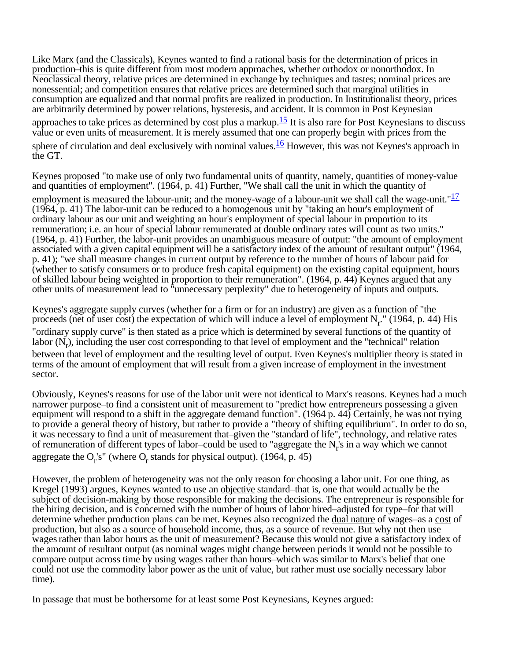Like Marx (and the Classicals), Keynes wanted to find a rational basis for the determination of prices in production–this is quite different from most modern approaches, whether orthodox or nonorthodox. In Neoclassical theory, relative prices are determined in exchange by techniques and tastes; nominal prices are nonessential; and competition ensures that relative prices are determined such that marginal utilities in consumption are equalized and that normal profits are realized in production. In Institutionalist theory, prices are arbitrarily determined by power relations, hysteresis, and accident. It is common in Post Keynesian approaches to take prices as determined by cost plus a markup.<sup>15</sup> It is also rare for Post Keynesians to discuss value or even units of measurement. It is merely assumed that one can properly begin with prices from the sphere of circulation and deal exclusively with nominal values.<sup>16</sup> However, this was not Keynes's approach in

the GT.

Keynes proposed "to make use of only two fundamental units of quantity, namely, quantities of money-value and quantities of employment". (1964, p. 41) Further, "We shall call the unit in which the quantity of employment is measured the labour-unit; and the money-wage of a labour-unit we shall call the wage-unit." $\frac{17}{17}$ (1964, p. 41) The labor-unit can be reduced to a homogenous unit by "taking an hour's employment of ordinary labour as our unit and weighting an hour's employment of special labour in proportion to its remuneration; i.e. an hour of special labour remunerated at double ordinary rates will count as two units." (1964, p. 41) Further, the labor-unit provides an unambiguous measure of output: "the amount of employment associated with a given capital equipment will be a satisfactory index of the amount of resultant output" (1964, p. 41); "we shall measure changes in current output by reference to the number of hours of labour paid for (whether to satisfy consumers or to produce fresh capital equipment) on the existing capital equipment, hours of skilled labour being weighted in proportion to their remuneration". (1964, p. 44) Keynes argued that any other units of measurement lead to "unnecessary perplexity" due to heterogeneity of inputs and outputs.

Keynes's aggregate supply curves (whether for a firm or for an industry) are given as a function of "the proceeds (net of user cost) the expectation of which will induce a level of employment  $N_r$ ." (1964, p. 44) His "ordinary supply curve" is then stated as a price which is determined by several functions of the quantity of labor  $(N_r)$ , including the user cost corresponding to that level of employment and the "technical" relation between that level of employment and the resulting level of output. Even Keynes's multiplier theory is stated in terms of the amount of employment that will result from a given increase of employment in the investment sector.

Obviously, Keynes's reasons for use of the labor unit were not identical to Marx's reasons. Keynes had a much narrower purpose–to find a consistent unit of measurement to "predict how entrepreneurs possessing a given equipment will respond to a shift in the aggregate demand function". (1964 p. 44) Certainly, he was not trying to provide a general theory of history, but rather to provide a "theory of shifting equilibrium". In order to do so, it was necessary to find a unit of measurement that–given the "standard of life", technology, and relative rates of remuneration of different types of labor–could be used to "aggregate the N<sub>r</sub>'s in a way which we cannot aggregate the  $O_r$ 's" (where  $O_r$  stands for physical output). (1964, p. 45)

However, the problem of heterogeneity was not the only reason for choosing a labor unit. For one thing, as Kregel (1993) argues, Keynes wanted to use an objective standard–that is, one that would actually be the subject of decision-making by those responsible for making the decisions. The entrepreneur is responsible for the hiring decision, and is concerned with the number of hours of labor hired–adjusted for type–for that will determine whether production plans can be met. Keynes also recognized the dual nature of wages–as a cost of production, but also as a source of household income, thus, as a source of revenue. But why not then use wages rather than labor hours as the unit of measurement? Because this would not give a satisfactory index of the amount of resultant output (as nominal wages might change between periods it would not be possible to compare output across time by using wages rather than hours–which was similar to Marx's belief that one could not use the commodity labor power as the unit of value, but rather must use socially necessary labor time).

In passage that must be bothersome for at least some Post Keynesians, Keynes argued: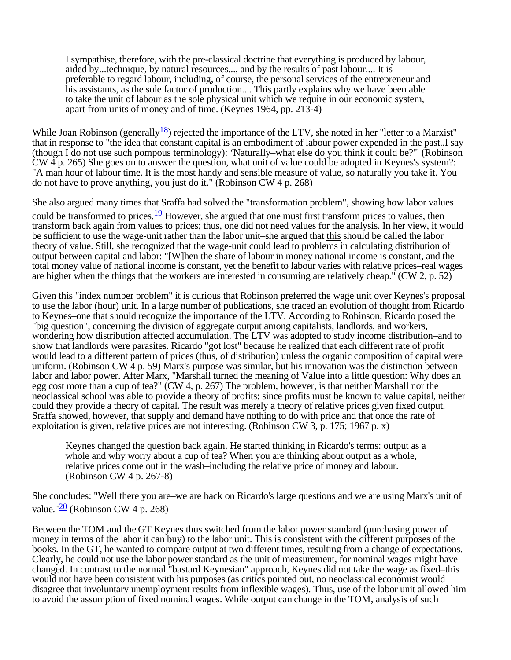I sympathise, therefore, with the pre-classical doctrine that everything is produced by labour, aided by...technique, by natural resources..., and by the results of past labour.... It is preferable to regard labour, including, of course, the personal services of the entrepreneur and his assistants, as the sole factor of production.... This partly explains why we have been able to take the unit of labour as the sole physical unit which we require in our economic system, apart from units of money and of time. (Keynes 1964, pp. 213-4)

While Joan Robinson (generally<sup>18</sup>) rejected the importance of the LTV, she noted in her "letter to a Marxist" that in response to "the idea that constant capital is an embodiment of labour power expended in the past..I say (though I do not use such pompous terminology): 'Naturally–what else do you think it could be?'" (Robinson  $CW$  4 p. 265) She goes on to answer the question, what unit of value could be adopted in Keynes's system?: "A man hour of labour time. It is the most handy and sensible measure of value, so naturally you take it. You do not have to prove anything, you just do it." (Robinson CW 4 p. 268)

She also argued many times that Sraffa had solved the "transformation problem", showing how labor values

could be transformed to prices.<sup>19</sup> However, she argued that one must first transform prices to values, then transform back again from values to prices; thus, one did not need values for the analysis. In her view, it would be sufficient to use the wage-unit rather than the labor unit–she argued that this should be called the labor theory of value. Still, she recognized that the wage-unit could lead to problems in calculating distribution of output between capital and labor: "[W]hen the share of labour in money national income is constant, and the total money value of national income is constant, yet the benefit to labour varies with relative prices–real wages are higher when the things that the workers are interested in consuming are relatively cheap." (CW 2, p. 52)

Given this "index number problem" it is curious that Robinson preferred the wage unit over Keynes's proposal to use the labor (hour) unit. In a large number of publications, she traced an evolution of thought from Ricardo to Keynes–one that should recognize the importance of the LTV. According to Robinson, Ricardo posed the "big question", concerning the division of aggregate output among capitalists, landlords, and workers, wondering how distribution affected accumulation. The LTV was adopted to study income distribution–and to show that landlords were parasites. Ricardo "got lost" because he realized that each different rate of profit would lead to a different pattern of prices (thus, of distribution) unless the organic composition of capital were uniform. (Robinson CW 4 p. 59) Marx's purpose was similar, but his innovation was the distinction between labor and labor power. After Marx, "Marshall turned the meaning of Value into a little question: Why does an egg cost more than a cup of tea?" (CW 4, p. 267) The problem, however, is that neither Marshall nor the neoclassical school was able to provide a theory of profits; since profits must be known to value capital, neither could they provide a theory of capital. The result was merely a theory of relative prices given fixed output. Sraffa showed, however, that supply and demand have nothing to do with price and that once the rate of exploitation is given, relative prices are not interesting. (Robinson CW 3, p. 175; 1967 p. x)

Keynes changed the question back again. He started thinking in Ricardo's terms: output as a whole and why worry about a cup of tea? When you are thinking about output as a whole, relative prices come out in the wash–including the relative price of money and labour. (Robinson CW 4 p. 267-8)

She concludes: "Well there you are–we are back on Ricardo's large questions and we are using Marx's unit of value." $\frac{20}{20}$  (Robinson CW 4 p. 268)

Between the TOM and the GT Keynes thus switched from the labor power standard (purchasing power of money in terms of the labor it can buy) to the labor unit. This is consistent with the different purposes of the books. In the GT, he wanted to compare output at two different times, resulting from a change of expectations. Clearly, he could not use the labor power standard as the unit of measurement, for nominal wages might have changed. In contrast to the normal "bastard Keynesian" approach, Keynes did not take the wage as fixed–this would not have been consistent with his purposes (as critics pointed out, no neoclassical economist would disagree that involuntary unemployment results from inflexible wages). Thus, use of the labor unit allowed him to avoid the assumption of fixed nominal wages. While output can change in the TOM, analysis of such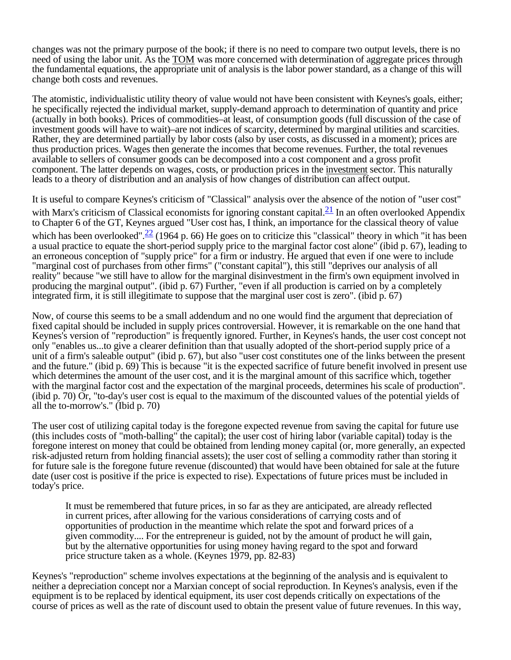changes was not the primary purpose of the book; if there is no need to compare two output levels, there is no need of using the labor unit. As the TOM was more concerned with determination of aggregate prices through the fundamental equations, the appropriate unit of analysis is the labor power standard, as a change of this will change both costs and revenues.

The atomistic, individualistic utility theory of value would not have been consistent with Keynes's goals, either; he specifically rejected the individual market, supply-demand approach to determination of quantity and price (actually in both books). Prices of commodities–at least, of consumption goods (full discussion of the case of investment goods will have to wait)–are not indices of scarcity, determined by marginal utilities and scarcities. Rather, they are determined partially by labor costs (also by user costs, as discussed in a moment); prices are thus production prices. Wages then generate the incomes that become revenues. Further, the total revenues available to sellers of consumer goods can be decomposed into a cost component and a gross profit component. The latter depends on wages, costs, or production prices in the investment sector. This naturally leads to a theory of distribution and an analysis of how changes of distribution can affect output.

It is useful to compare Keynes's criticism of "Classical" analysis over the absence of the notion of "user cost" with Marx's criticism of Classical economists for ignoring constant capital.  $\frac{21}{2}$  In an often overlooked Appendix to Chapter 6 of the GT, Keynes argued "User cost has, I think, an importance for the classical theory of value which has been overlooked". $\frac{22}{1964}$  p. 66) He goes on to criticize this "classical" theory in which "it has been a usual practice to equate the short-period supply price to the marginal factor cost alone" (ibid p. 67), leading to an erroneous conception of "supply price" for a firm or industry. He argued that even if one were to include "marginal cost of purchases from other firms" ("constant capital"), this still "deprives our analysis of all reality" because "we still have to allow for the marginal disinvestment in the firm's own equipment involved in producing the marginal output". (ibid p. 67) Further, "even if all production is carried on by a completely integrated firm, it is still illegitimate to suppose that the marginal user cost is zero". (ibid p. 67)

Now, of course this seems to be a small addendum and no one would find the argument that depreciation of fixed capital should be included in supply prices controversial. However, it is remarkable on the one hand that Keynes's version of "reproduction" is frequently ignored. Further, in Keynes's hands, the user cost concept not only "enables us...to give a clearer definition than that usually adopted of the short-period supply price of a unit of a firm's saleable output" (ibid p. 67), but also "user cost constitutes one of the links between the present and the future." (ibid p. 69) This is because "it is the expected sacrifice of future benefit involved in present use which determines the amount of the user cost, and it is the marginal amount of this sacrifice which, together with the marginal factor cost and the expectation of the marginal proceeds, determines his scale of production". (ibid p. 70) Or, "to-day's user cost is equal to the maximum of the discounted values of the potential yields of all the to-morrow's." (Ibid p. 70)

The user cost of utilizing capital today is the foregone expected revenue from saving the capital for future use (this includes costs of "moth-balling" the capital); the user cost of hiring labor (variable capital) today is the foregone interest on money that could be obtained from lending money capital (or, more generally, an expected risk-adjusted return from holding financial assets); the user cost of selling a commodity rather than storing it for future sale is the foregone future revenue (discounted) that would have been obtained for sale at the future date (user cost is positive if the price is expected to rise). Expectations of future prices must be included in today's price.

It must be remembered that future prices, in so far as they are anticipated, are already reflected in current prices, after allowing for the various considerations of carrying costs and of opportunities of production in the meantime which relate the spot and forward prices of a given commodity.... For the entrepreneur is guided, not by the amount of product he will gain, but by the alternative opportunities for using money having regard to the spot and forward price structure taken as a whole. (Keynes 1979, pp. 82-83)

Keynes's "reproduction" scheme involves expectations at the beginning of the analysis and is equivalent to neither a depreciation concept nor a Marxian concept of social reproduction. In Keynes's analysis, even if the equipment is to be replaced by identical equipment, its user cost depends critically on expectations of the course of prices as well as the rate of discount used to obtain the present value of future revenues. In this way,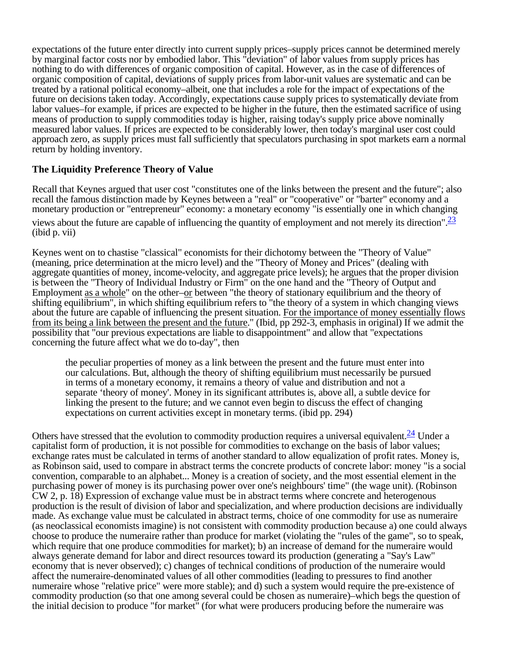expectations of the future enter directly into current supply prices–supply prices cannot be determined merely by marginal factor costs nor by embodied labor. This "deviation" of labor values from supply prices has nothing to do with differences of organic composition of capital. However, as in the case of differences of organic composition of capital, deviations of supply prices from labor-unit values are systematic and can be treated by a rational political economy–albeit, one that includes a role for the impact of expectations of the future on decisions taken today. Accordingly, expectations cause supply prices to systematically deviate from labor values–for example, if prices are expected to be higher in the future, then the estimated sacrifice of using means of production to supply commodities today is higher, raising today's supply price above nominally measured labor values. If prices are expected to be considerably lower, then today's marginal user cost could approach zero, as supply prices must fall sufficiently that speculators purchasing in spot markets earn a normal return by holding inventory.

## **The Liquidity Preference Theory of Value**

Recall that Keynes argued that user cost "constitutes one of the links between the present and the future"; also recall the famous distinction made by Keynes between a "real" or "cooperative" or "barter" economy and a monetary production or "entrepreneur" economy: a monetary economy "is essentially one in which changing views about the future are capable of influencing the quantity of employment and not merely its direction".  $\frac{23}{2}$ (ibid p. vii)

Keynes went on to chastise "classical" economists for their dichotomy between the "Theory of Value" (meaning, price determination at the micro level) and the "Theory of Money and Prices" (dealing with aggregate quantities of money, income-velocity, and aggregate price levels); he argues that the proper division is between the "Theory of Individual Industry or Firm" on the one hand and the "Theory of Output and Employment as a whole" on the other–or between "the theory of stationary equilibrium and the theory of shifting equilibrium", in which shifting equilibrium refers to "the theory of a system in which changing views about the future are capable of influencing the present situation. For the importance of money essentially flows from its being a link between the present and the future." (Ibid,  $\overline{p}$  292-3, emphasis in original) If we admit the possibility that "our previous expectations are liable to disappointment" and allow that "expectations concerning the future affect what we do to-day", then

the peculiar properties of money as a link between the present and the future must enter into our calculations. But, although the theory of shifting equilibrium must necessarily be pursued in terms of a monetary economy, it remains a theory of value and distribution and not a separate 'theory of money'. Money in its significant attributes is, above all, a subtle device for linking the present to the future; and we cannot even begin to discuss the effect of changing expectations on current activities except in monetary terms. (ibid pp. 294)

Others have stressed that the evolution to commodity production requires a universal equivalent.  $\frac{24}{1}$  Under a capitalist form of production, it is not possible for commodities to exchange on the basis of labor values; exchange rates must be calculated in terms of another standard to allow equalization of profit rates. Money is, as Robinson said, used to compare in abstract terms the concrete products of concrete labor: money "is a social convention, comparable to an alphabet... Money is a creation of society, and the most essential element in the purchasing power of money is its purchasing power over one's neighbours' time" (the wage unit). (Robinson CW 2, p. 18) Expression of exchange value must be in abstract terms where concrete and heterogenous production is the result of division of labor and specialization, and where production decisions are individually made. As exchange value must be calculated in abstract terms, choice of one commodity for use as numeraire (as neoclassical economists imagine) is not consistent with commodity production because a) one could always choose to produce the numeraire rather than produce for market (violating the "rules of the game", so to speak, which require that one produce commodities for market); b) an increase of demand for the numeraire would always generate demand for labor and direct resources toward its production (generating a "Say's Law" economy that is never observed); c) changes of technical conditions of production of the numeraire would affect the numeraire-denominated values of all other commodities (leading to pressures to find another numeraire whose "relative price" were more stable); and d) such a system would require the pre-existence of commodity production (so that one among several could be chosen as numeraire)–which begs the question of the initial decision to produce "for market" (for what were producers producing before the numeraire was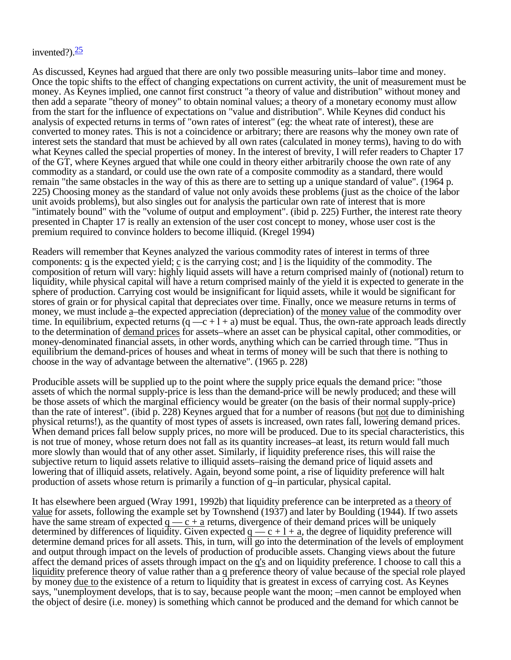## invented?) $\frac{25}{2}$

As discussed, Keynes had argued that there are only two possible measuring units–labor time and money. Once the topic shifts to the effect of changing expectations on current activity, the unit of measurement must be money. As Keynes implied, one cannot first construct "a theory of value and distribution" without money and then add a separate "theory of money" to obtain nominal values; a theory of a monetary economy must allow from the start for the influence of expectations on "value and distribution". While Keynes did conduct his analysis of expected returns in terms of "own rates of interest" (eg: the wheat rate of interest), these are converted to money rates. This is not a coincidence or arbitrary; there are reasons why the money own rate of interest sets the standard that must be achieved by all own rates (calculated in money terms), having to do with what Keynes called the special properties of money. In the interest of brevity, I will refer readers to Chapter 17 of the GT, where Keynes argued that while one could in theory either arbitrarily choose the own rate of any commodity as a standard, or could use the own rate of a composite commodity as a standard, there would remain "the same obstacles in the way of this as there are to setting up a unique standard of value". (1964 p. 225) Choosing money as the standard of value not only avoids these problems (just as the choice of the labor unit avoids problems), but also singles out for analysis the particular own rate of interest that is more "intimately bound" with the "volume of output and employment". (ibid p. 225) Further, the interest rate theory presented in Chapter 17 is really an extension of the user cost concept to money, whose user cost is the premium required to convince holders to become illiquid. (Kregel 1994)

Readers will remember that Keynes analyzed the various commodity rates of interest in terms of three components: q is the expected yield; c is the carrying cost; and l is the liquidity of the commodity. The composition of return will vary: highly liquid assets will have a return comprised mainly of (notional) return to liquidity, while physical capital will have a return comprised mainly of the yield it is expected to generate in the sphere of production. Carrying cost would be insignificant for liquid assets, while it would be significant for stores of grain or for physical capital that depreciates over time. Finally, once we measure returns in terms of money, we must include a–the expected appreciation (depreciation) of the money value of the commodity over time. In equilibrium, expected returns  $(q - c + 1 + a)$  must be equal. Thus, the own-rate approach leads directly to the determination of demand prices for assets–where an asset can be physical capital, other commodities, or money-denominated financial assets, in other words, anything which can be carried through time. "Thus in equilibrium the demand-prices of houses and wheat in terms of money will be such that there is nothing to choose in the way of advantage between the alternative". (1965 p. 228)

Producible assets will be supplied up to the point where the supply price equals the demand price: "those assets of which the normal supply-price is less than the demand-price will be newly produced; and these will be those assets of which the marginal efficiency would be greater (on the basis of their normal supply-price) than the rate of interest". (ibid p. 228) Keynes argued that for a number of reasons (but not due to diminishing physical returns!), as the quantity of most types of assets is increased, own rates fall, lowering demand prices. When demand prices fall below supply prices, no more will be produced. Due to its special characteristics, this is not true of money, whose return does not fall as its quantity increases–at least, its return would fall much more slowly than would that of any other asset. Similarly, if liquidity preference rises, this will raise the subjective return to liquid assets relative to illiquid assets–raising the demand price of liquid assets and lowering that of illiquid assets, relatively. Again, beyond some point, a rise of liquidity preference will halt production of assets whose return is primarily a function of q–in particular, physical capital.

It has elsewhere been argued (Wray 1991, 1992b) that liquidity preference can be interpreted as a theory of value for assets, following the example set by Townshend (1937) and later by Boulding (1944). If two assets have the same stream of expected  $q - c + a$  returns, divergence of their demand prices will be uniquely determined by differences of liquidity. Given expected  $q$  —  $c + 1 + a$ , the degree of liquidity preference will determine demand prices for all assets. This, in turn, will go into the determination of the levels of employment and output through impact on the levels of production of producible assets. Changing views about the future affect the demand prices of assets through impact on the q's and on liquidity preference. I choose to call this a liquidity preference theory of value rather than a q preference theory of value because of the special role played by money due to the existence of a return to liquidity that is greatest in excess of carrying cost. As Keynes says, "unemployment develops, that is to say, because people want the moon; –men cannot be employed when the object of desire (i.e. money) is something which cannot be produced and the demand for which cannot be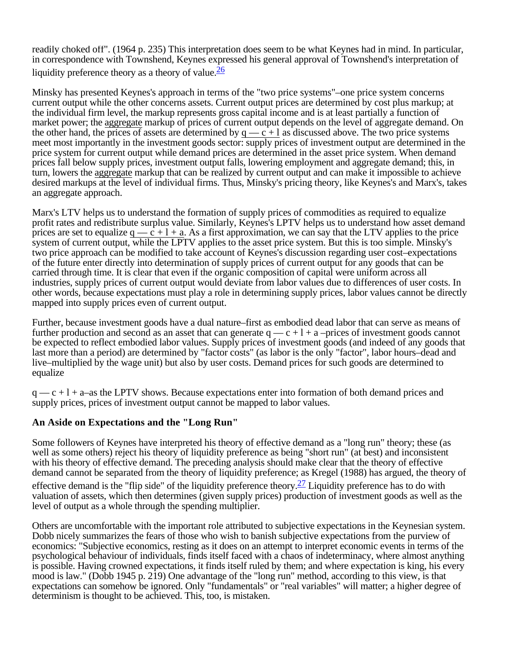readily choked off". (1964 p. 235) This interpretation does seem to be what Keynes had in mind. In particular, in correspondence with Townshend, Keynes expressed his general approval of Townshend's interpretation of liquidity preference theory as a theory of value.  $\frac{26}{10}$ 

Minsky has presented Keynes's approach in terms of the "two price systems"–one price system concerns current output while the other concerns assets. Current output prices are determined by cost plus markup; at the individual firm level, the markup represents gross capital income and is at least partially a function of market power; the aggregate markup of prices of current output depends on the level of aggregate demand. On the other hand, the prices of assets are determined by  $q \rightarrow c+1$  as discussed above. The two price systems meet most importantly in the investment goods sector: supply prices of investment output are determined in the price system for current output while demand prices are determined in the asset price system. When demand prices fall below supply prices, investment output falls, lowering employment and aggregate demand; this, in turn, lowers the aggregate markup that can be realized by current output and can make it impossible to achieve desired markups at the level of individual firms. Thus, Minsky's pricing theory, like Keynes's and Marx's, takes an aggregate approach.

Marx's LTV helps us to understand the formation of supply prices of commodities as required to equalize profit rates and redistribute surplus value. Similarly, Keynes's LPTV helps us to understand how asset demand prices are set to equalize  $q \neq c + 1 + a$ . As a first approximation, we can say that the LTV applies to the price system of current output, while the LPTV applies to the asset price system. But this is too simple. Minsky's two price approach can be modified to take account of Keynes's discussion regarding user cost–expectations of the future enter directly into determination of supply prices of current output for any goods that can be carried through time. It is clear that even if the organic composition of capital were uniform across all industries, supply prices of current output would deviate from labor values due to differences of user costs. In other words, because expectations must play a role in determining supply prices, labor values cannot be directly mapped into supply prices even of current output.

Further, because investment goods have a dual nature–first as embodied dead labor that can serve as means of further production and second as an asset that can generate  $q - c + 1 + a$  –prices of investment goods cannot be expected to reflect embodied labor values. Supply prices of investment goods (and indeed of any goods that last more than a period) are determined by "factor costs" (as labor is the only "factor", labor hours–dead and live–multiplied by the wage unit) but also by user costs. Demand prices for such goods are determined to equalize

 $q - c + 1 + a$ –as the LPTV shows. Because expectations enter into formation of both demand prices and supply prices, prices of investment output cannot be mapped to labor values.

#### **An Aside on Expectations and the "Long Run"**

Some followers of Keynes have interpreted his theory of effective demand as a "long run" theory; these (as well as some others) reject his theory of liquidity preference as being "short run" (at best) and inconsistent with his theory of effective demand. The preceding analysis should make clear that the theory of effective demand cannot be separated from the theory of liquidity preference; as Kregel (1988) has argued, the theory of

effective demand is the "flip side" of the liquidity preference theory.<sup>27</sup> Liquidity preference has to do with valuation of assets, which then determines (given supply prices) production of investment goods as well as the level of output as a whole through the spending multiplier.

Others are uncomfortable with the important role attributed to subjective expectations in the Keynesian system. Dobb nicely summarizes the fears of those who wish to banish subjective expectations from the purview of economics: "Subjective economics, resting as it does on an attempt to interpret economic events in terms of the psychological behaviour of individuals, finds itself faced with a chaos of indeterminacy, where almost anything is possible. Having crowned expectations, it finds itself ruled by them; and where expectation is king, his every mood is law." (Dobb 1945 p. 219) One advantage of the "long run" method, according to this view, is that expectations can somehow be ignored. Only "fundamentals" or "real variables" will matter; a higher degree of determinism is thought to be achieved. This, too, is mistaken.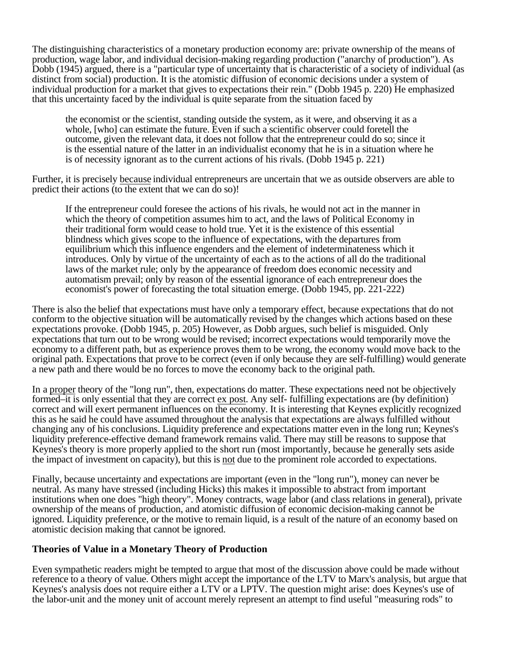The distinguishing characteristics of a monetary production economy are: private ownership of the means of production, wage labor, and individual decision-making regarding production ("anarchy of production"). As Dobb (1945) argued, there is a "particular type of uncertainty that is characteristic of a society of individual (as distinct from social) production. It is the atomistic diffusion of economic decisions under a system of individual production for a market that gives to expectations their rein." (Dobb 1945 p. 220) He emphasized that this uncertainty faced by the individual is quite separate from the situation faced by

the economist or the scientist, standing outside the system, as it were, and observing it as a whole, [who] can estimate the future. Even if such a scientific observer could foretell the outcome, given the relevant data, it does not follow that the entrepreneur could do so; since it is the essential nature of the latter in an individualist economy that he is in a situation where he is of necessity ignorant as to the current actions of his rivals. (Dobb 1945 p. 221)

Further, it is precisely because individual entrepreneurs are uncertain that we as outside observers are able to predict their actions (to the extent that we can do so)!

If the entrepreneur could foresee the actions of his rivals, he would not act in the manner in which the theory of competition assumes him to act, and the laws of Political Economy in their traditional form would cease to hold true. Yet it is the existence of this essential blindness which gives scope to the influence of expectations, with the departures from equilibrium which this influence engenders and the element of indeterminateness which it introduces. Only by virtue of the uncertainty of each as to the actions of all do the traditional laws of the market rule; only by the appearance of freedom does economic necessity and automatism prevail; only by reason of the essential ignorance of each entrepreneur does the economist's power of forecasting the total situation emerge. (Dobb 1945, pp. 221-222)

There is also the belief that expectations must have only a temporary effect, because expectations that do not conform to the objective situation will be automatically revised by the changes which actions based on these expectations provoke. (Dobb 1945, p. 205) However, as Dobb argues, such belief is misguided. Only expectations that turn out to be wrong would be revised; incorrect expectations would temporarily move the economy to a different path, but as experience proves them to be wrong, the economy would move back to the original path. Expectations that prove to be correct (even if only because they are self-fulfilling) would generate a new path and there would be no forces to move the economy back to the original path.

In a proper theory of the "long run", then, expectations do matter. These expectations need not be objectively formed–it is only essential that they are correct ex post. Any self- fulfilling expectations are (by definition) correct and will exert permanent influences on the economy. It is interesting that Keynes explicitly recognized this as he said he could have assumed throughout the analysis that expectations are always fulfilled without changing any of his conclusions. Liquidity preference and expectations matter even in the long run; Keynes's liquidity preference-effective demand framework remains valid. There may still be reasons to suppose that Keynes's theory is more properly applied to the short run (most importantly, because he generally sets aside the impact of investment on capacity), but this is not due to the prominent role accorded to expectations.

Finally, because uncertainty and expectations are important (even in the "long run"), money can never be neutral. As many have stressed (including Hicks) this makes it impossible to abstract from important institutions when one does "high theory". Money contracts, wage labor (and class relations in general), private ownership of the means of production, and atomistic diffusion of economic decision-making cannot be ignored. Liquidity preference, or the motive to remain liquid, is a result of the nature of an economy based on atomistic decision making that cannot be ignored.

#### **Theories of Value in a Monetary Theory of Production**

Even sympathetic readers might be tempted to argue that most of the discussion above could be made without reference to a theory of value. Others might accept the importance of the LTV to Marx's analysis, but argue that Keynes's analysis does not require either a LTV or a LPTV. The question might arise: does Keynes's use of the labor-unit and the money unit of account merely represent an attempt to find useful "measuring rods" to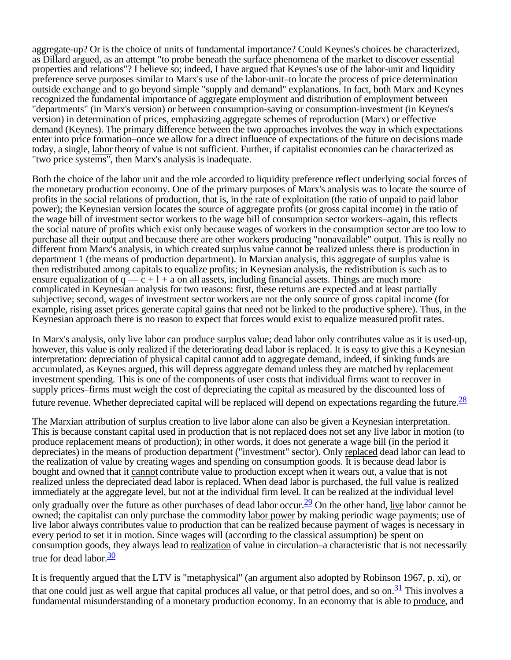aggregate-up? Or is the choice of units of fundamental importance? Could Keynes's choices be characterized, as Dillard argued, as an attempt "to probe beneath the surface phenomena of the market to discover essential properties and relations"? I believe so; indeed, I have argued that Keynes's use of the labor-unit and liquidity preference serve purposes similar to Marx's use of the labor-unit–to locate the process of price determination outside exchange and to go beyond simple "supply and demand" explanations. In fact, both Marx and Keynes recognized the fundamental importance of aggregate employment and distribution of employment between "departments" (in Marx's version) or between consumption-saving or consumption-investment (in Keynes's version) in determination of prices, emphasizing aggregate schemes of reproduction (Marx) or effective demand (Keynes). The primary difference between the two approaches involves the way in which expectations enter into price formation–once we allow for a direct influence of expectations of the future on decisions made today, a single, labor theory of value is not sufficient. Further, if capitalist economies can be characterized as "two price systems", then Marx's analysis is inadequate.

Both the choice of the labor unit and the role accorded to liquidity preference reflect underlying social forces of the monetary production economy. One of the primary purposes of Marx's analysis was to locate the source of profits in the social relations of production, that is, in the rate of exploitation (the ratio of unpaid to paid labor power); the Keynesian version locates the source of aggregate profits (or gross capital income) in the ratio of the wage bill of investment sector workers to the wage bill of consumption sector workers–again, this reflects the social nature of profits which exist only because wages of workers in the consumption sector are too low to purchase all their output and because there are other workers producing "nonavailable" output. This is really no different from Marx's analysis, in which created surplus value cannot be realized unless there is production in department 1 (the means of production department). In Marxian analysis, this aggregate of surplus value is then redistributed among capitals to equalize profits; in Keynesian analysis, the redistribution is such as to ensure equalization of  $q - c + 1 + a$  on all assets, including financial assets. Things are much more complicated in Keynesian analysis for two reasons: first, these returns are expected and at least partially subjective; second, wages of investment sector workers are not the only source of gross capital income (for example, rising asset prices generate capital gains that need not be linked to the productive sphere). Thus, in the Keynesian approach there is no reason to expect that forces would exist to equalize measured profit rates.

In Marx's analysis, only live labor can produce surplus value; dead labor only contributes value as it is used-up, however, this value is only realized if the deteriorating dead labor is replaced. It is easy to give this a Keynesian interpretation: depreciation of physical capital cannot add to aggregate demand, indeed, if sinking funds are accumulated, as Keynes argued, this will depress aggregate demand unless they are matched by replacement investment spending. This is one of the components of user costs that individual firms want to recover in supply prices–firms must weigh the cost of depreciating the capital as measured by the discounted loss of future revenue. Whether depreciated capital will be replaced will depend on expectations regarding the future.  $\frac{28}{3}$ 

The Marxian attribution of surplus creation to live labor alone can also be given a Keynesian interpretation. This is because constant capital used in production that is not replaced does not set any live labor in motion (to produce replacement means of production); in other words, it does not generate a wage bill (in the period it depreciates) in the means of production department ("investment" sector). Only replaced dead labor can lead to the realization of value by creating wages and spending on consumption goods. It is because dead labor is bought and owned that it cannot contribute value to production except when it wears out, a value that is not realized unless the depreciated dead labor is replaced. When dead labor is purchased, the full value is realized immediately at the aggregate level, but not at the individual firm level. It can be realized at the individual level

only gradually over the future as other purchases of dead labor occur.  $\frac{29}{2}$  On the other hand, live labor cannot be owned; the capitalist can only purchase the commodity labor power by making periodic wage payments; use of live labor always contributes value to production that can be realized because payment of wages is necessary in every period to set it in motion. Since wages will (according to the classical assumption) be spent on consumption goods, they always lead to realization of value in circulation–a characteristic that is not necessarily true for dead labor.<sup>30</sup>

It is frequently argued that the LTV is "metaphysical" (an argument also adopted by Robinson 1967, p. xi), or that one could just as well argue that capital produces all value, or that petrol does, and so on. $\frac{31}{10}$  This involves a fundamental misunderstanding of a monetary production economy. In an economy that is able to produce, and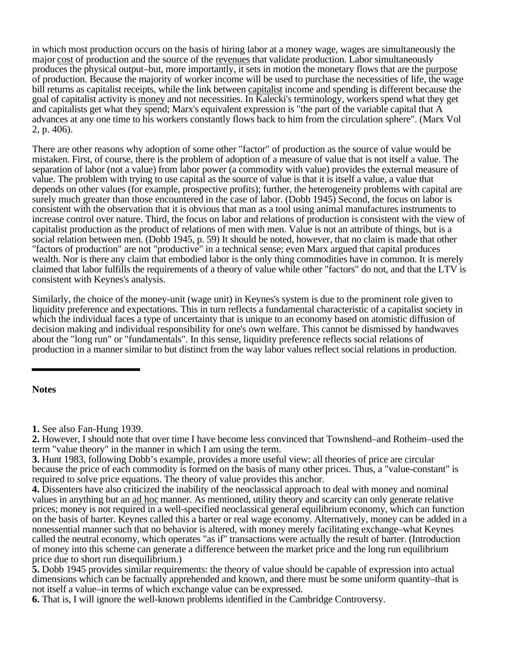in which most production occurs on the basis of hiring labor at a money wage, wages are simultaneously the major cost of production and the source of the revenues that validate production. Labor simultaneously produces the physical output–but, more importantly, it sets in motion the monetary flows that are the purpose of production. Because the majority of worker income will be used to purchase the necessities of life, the wage bill returns as capitalist receipts, while the link between capitalist income and spending is different because the goal of capitalist activity is money and not necessities. In Kalecki's terminology, workers spend what they get and capitalists get what they spend; Marx's equivalent expression is "the part of the variable capital that A advances at any one time to his workers constantly flows back to him from the circulation sphere". (Marx Vol 2, p. 406).

There are other reasons why adoption of some other "factor" of production as the source of value would be mistaken. First, of course, there is the problem of adoption of a measure of value that is not itself a value. The separation of labor (not a value) from labor power (a commodity with value) provides the external measure of value. The problem with trying to use capital as the source of value is that it is itself a value, a value that depends on other values (for example, prospective profits); further, the heterogeneity problems with capital are surely much greater than those encountered in the case of labor. (Dobb 1945) Second, the focus on labor is consistent with the observation that it is obvious that man as a tool using animal manufactures instruments to increase control over nature. Third, the focus on labor and relations of production is consistent with the view of capitalist production as the product of relations of men with men. Value is not an attribute of things, but is a social relation between men. (Dobb 1945, p. 59) It should be noted, however, that no claim is made that other "factors of production" are not "productive" in a technical sense; even Marx argued that capital produces wealth. Nor is there any claim that embodied labor is the only thing commodities have in common. It is merely claimed that labor fulfills the requirements of a theory of value while other "factors" do not, and that the LTV is consistent with Keynes's analysis.

Similarly, the choice of the money-unit (wage unit) in Keynes's system is due to the prominent role given to liquidity preference and expectations. This in turn reflects a fundamental characteristic of a capitalist society in which the individual faces a type of uncertainty that is unique to an economy based on atomistic diffusion of decision making and individual responsibility for one's own welfare. This cannot be dismissed by handwaves about the "long run" or "fundamentals". In this sense, liquidity preference reflects social relations of production in a manner similar to but distinct from the way labor values reflect social relations in production.

#### **Notes**

**1.** See also Fan-Hung 1939.

**2.** However, I should note that over time I have become less convinced that Townshend–and Rotheim–used the term "value theory" in the manner in which I am using the term.

**3.** Hunt 1983, following Dobb's example, provides a more useful view: all theories of price are circular because the price of each commodity is formed on the basis of many other prices. Thus, a "value-constant" is required to solve price equations. The theory of value provides this anchor.

**4.** Dissenters have also criticized the inability of the neoclassical approach to deal with money and nominal values in anything but an ad hoc manner. As mentioned, utility theory and scarcity can only generate relative prices; money is not required in a well-specified neoclassical general equilibrium economy, which can function on the basis of barter. Keynes called this a barter or real wage economy. Alternatively, money can be added in a nonessential manner such that no behavior is altered, with money merely facilitating exchange–what Keynes called the neutral economy, which operates "as if" transactions were actually the result of barter. (Introduction of money into this scheme can generate a difference between the market price and the long run equilibrium price due to short run disequilibrium.)

**5.** Dobb 1945 provides similar requirements: the theory of value should be capable of expression into actual dimensions which can be factually apprehended and known, and there must be some uniform quantity–that is not itself a value–in terms of which exchange value can be expressed.

**6.** That is, I will ignore the well-known problems identified in the Cambridge Controversy.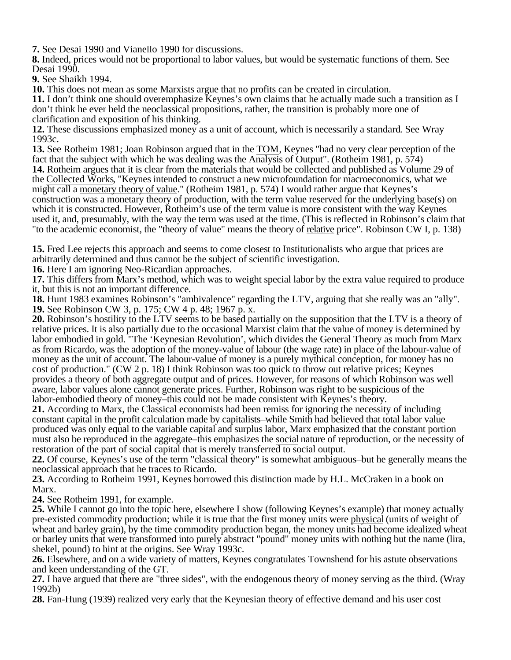**7.** See Desai 1990 and Vianello 1990 for discussions.

**8.** Indeed, prices would not be proportional to labor values, but would be systematic functions of them. See Desai 1990.

**9.** See Shaikh 1994.

**10.** This does not mean as some Marxists argue that no profits can be created in circulation.

**11.** I don't think one should overemphasize Keynes's own claims that he actually made such a transition as I don't think he ever held the neoclassical propositions, rather, the transition is probably more one of clarification and exposition of his thinking.

**12.** These discussions emphasized money as a unit of account, which is necessarily a standard. See Wray 1993c.

**13.** See Rotheim 1981; Joan Robinson argued that in the TOM, Keynes "had no very clear perception of the fact that the subject with which he was dealing was the Analysis of Output". (Rotheim 1981, p. 574)

**14.** Rotheim argues that it is clear from the materials that would be collected and published as Volume 29 of the Collected Works, "Keynes intended to construct a new microfoundation for macroeconomics, what we might call a monetary theory of value." (Rotheim 1981, p. 574) I would rather argue that Keynes's construction was a monetary theory of production, with the term value reserved for the underlying base(s) on which it is constructed. However, Rotheim's use of the term value is more consistent with the way Keynes used it, and, presumably, with the way the term was used at the time. (This is reflected in Robinson's claim that "to the academic economist, the "theory of value" means the theory of relative price". Robinson CW I, p. 138)

**15.** Fred Lee rejects this approach and seems to come closest to Institutionalists who argue that prices are arbitrarily determined and thus cannot be the subject of scientific investigation.

**16.** Here I am ignoring Neo-Ricardian approaches.

**17.** This differs from Marx's method, which was to weight special labor by the extra value required to produce it, but this is not an important difference.

**18.** Hunt 1983 examines Robinson's "ambivalence" regarding the LTV, arguing that she really was an "ally".

**19.** See Robinson CW 3, p. 175; CW 4 p. 48; 1967 p. x.

**20.** Robinson's hostility to the LTV seems to be based partially on the supposition that the LTV is a theory of relative prices. It is also partially due to the occasional Marxist claim that the value of money is determined by labor embodied in gold. "The 'Keynesian Revolution', which divides the General Theory as much from Marx as from Ricardo, was the adoption of the money-value of labour (the wage rate) in place of the labour-value of money as the unit of account. The labour-value of money is a purely mythical conception, for money has no cost of production." (CW 2 p. 18) I think Robinson was too quick to throw out relative prices; Keynes provides a theory of both aggregate output and of prices. However, for reasons of which Robinson was well aware, labor values alone cannot generate prices. Further, Robinson was right to be suspicious of the labor-embodied theory of money–this could not be made consistent with Keynes's theory.

**21.** According to Marx, the Classical economists had been remiss for ignoring the necessity of including constant capital in the profit calculation made by capitalists–while Smith had believed that total labor value produced was only equal to the variable capital and surplus labor, Marx emphasized that the constant portion must also be reproduced in the aggregate–this emphasizes the social nature of reproduction, or the necessity of restoration of the part of social capital that is merely transferred to social output.

**22.** Of course, Keynes's use of the term "classical theory" is somewhat ambiguous–but he generally means the neoclassical approach that he traces to Ricardo.

**23.** According to Rotheim 1991, Keynes borrowed this distinction made by H.L. McCraken in a book on Marx.

**24.** See Rotheim 1991, for example.

**25.** While I cannot go into the topic here, elsewhere I show (following Keynes's example) that money actually pre-existed commodity production; while it is true that the first money units were physical (units of weight of wheat and barley grain), by the time commodity production began, the money units had become idealized wheat or barley units that were transformed into purely abstract "pound" money units with nothing but the name (lira, shekel, pound) to hint at the origins. See Wray 1993c.

**26.** Elsewhere, and on a wide variety of matters, Keynes congratulates Townshend for his astute observations and keen understanding of the GT.

**27.** I have argued that there are "three sides", with the endogenous theory of money serving as the third. (Wray 1992b)

**28.** Fan-Hung (1939) realized very early that the Keynesian theory of effective demand and his user cost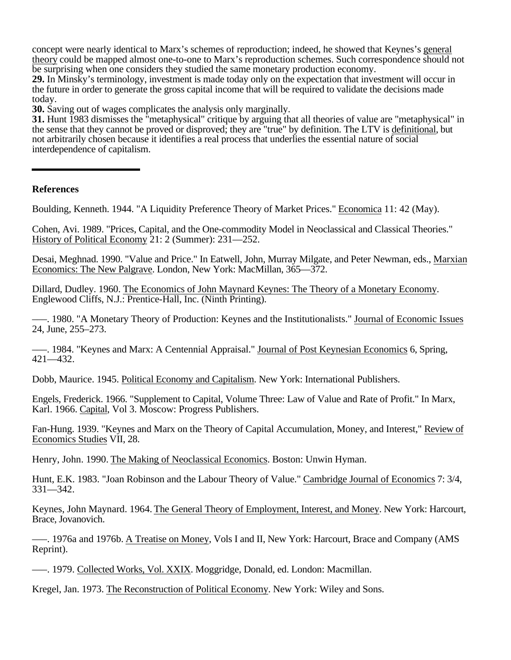concept were nearly identical to Marx's schemes of reproduction; indeed, he showed that Keynes's general theory could be mapped almost one-to-one to Marx's reproduction schemes. Such correspondence should not be surprising when one considers they studied the same monetary production economy.

**29.** In Minsky's terminology, investment is made today only on the expectation that investment will occur in the future in order to generate the gross capital income that will be required to validate the decisions made today.

**30.** Saving out of wages complicates the analysis only marginally.

**31.** Hunt 1983 dismisses the "metaphysical" critique by arguing that all theories of value are "metaphysical" in the sense that they cannot be proved or disproved; they are "true" by definition. The LTV is definitional, but not arbitrarily chosen because it identifies a real process that underlies the essential nature of social interdependence of capitalism.

#### **References**

Boulding, Kenneth. 1944. "A Liquidity Preference Theory of Market Prices." Economica 11: 42 (May).

Cohen, Avi. 1989. "Prices, Capital, and the One-commodity Model in Neoclassical and Classical Theories." History of Political Economy 21: 2 (Summer): 231—252.

Desai, Meghnad. 1990. "Value and Price." In Eatwell, John, Murray Milgate, and Peter Newman, eds., Marxian Economics: The New Palgrave. London, New York: MacMillan, 365—372.

Dillard, Dudley. 1960. The Economics of John Maynard Keynes: The Theory of a Monetary Economy. Englewood Cliffs, N.J.: Prentice-Hall, Inc. (Ninth Printing).

–––. 1980. "A Monetary Theory of Production: Keynes and the Institutionalists." Journal of Economic Issues 24, June, 255–273.

–––. 1984. "Keynes and Marx: A Centennial Appraisal." Journal of Post Keynesian Economics 6, Spring, 421—432.

Dobb, Maurice. 1945. Political Economy and Capitalism. New York: International Publishers.

Engels, Frederick. 1966. "Supplement to Capital, Volume Three: Law of Value and Rate of Profit." In Marx, Karl. 1966. Capital, Vol 3. Moscow: Progress Publishers.

Fan-Hung. 1939. "Keynes and Marx on the Theory of Capital Accumulation, Money, and Interest," Review of Economics Studies VII, 28.

Henry, John. 1990. The Making of Neoclassical Economics. Boston: Unwin Hyman.

Hunt, E.K. 1983. "Joan Robinson and the Labour Theory of Value." Cambridge Journal of Economics 7: 3/4, 331—342.

Keynes, John Maynard. 1964. The General Theory of Employment, Interest, and Money. New York: Harcourt, Brace, Jovanovich.

–––. 1976a and 1976b. A Treatise on Money, Vols I and II, New York: Harcourt, Brace and Company (AMS Reprint).

–––. 1979. Collected Works, Vol. XXIX. Moggridge, Donald, ed. London: Macmillan.

Kregel, Jan. 1973. The Reconstruction of Political Economy. New York: Wiley and Sons.